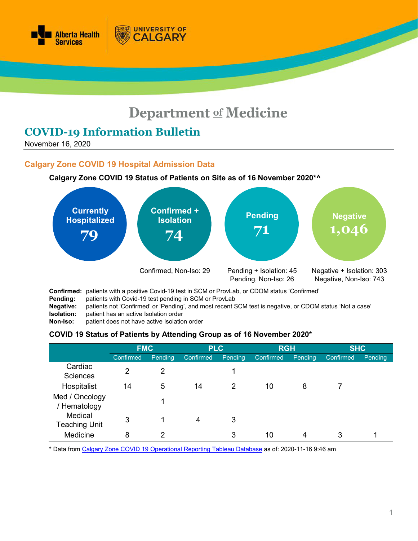

# **Department of Medicine**

# **COVID-19 Information Bulletin**

November 16, 2020

# **Calgary Zone COVID 19 Hospital Admission Data**

#### **Calgary Zone COVID 19 Status of Patients on Site as of 16 November 2020\*^**

**UNIVERSITY OF** 

CALGARY



**Pending:** patients with Covid-19 test pending in SCM or ProvLab

- **Negative:** patients not 'Confirmed' or 'Pending', and most recent SCM test is negative, or CDOM status 'Not a case'
- **Isolation:** patient has an active Isolation order<br>**Non-Iso:** patient does not have active Isolatio
- patient does not have active Isolation order

#### **COVID 19 Status of Patients by Attending Group as of 16 November 2020\***

|                                 | <b>FMC</b> |         | <b>PLC</b>       |         | <b>RGH</b>       |         | <b>SHC</b> |         |
|---------------------------------|------------|---------|------------------|---------|------------------|---------|------------|---------|
|                                 | Confirmed  | Pending | <b>Confirmed</b> | Pending | <b>Confirmed</b> | Pending | Confirmed  | Pending |
| Cardiac<br><b>Sciences</b>      | 2          | 2       |                  |         |                  |         |            |         |
| Hospitalist                     | 14         | 5       | 14               | 2       | 10               | 8       |            |         |
| Med / Oncology<br>/ Hematology  |            |         |                  |         |                  |         |            |         |
| Medical<br><b>Teaching Unit</b> | 3          |         | 4                | 3       |                  |         |            |         |
| Medicine                        | 8          | ◠       |                  | 3       | 10               | 4       | 3          |         |

\* Data from [Calgary Zone COVID 19 Operational Reporting](https://tableau.albertahealthservices.ca/#/views/Covid19StatusCalgarySites/COVID19StatusCZSites?:iid=1) Tableau Database as of: 2020-11-16 9:46 am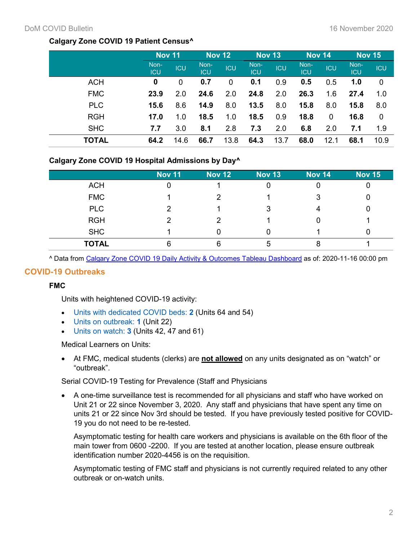# **Calgary Zone COVID 19 Patient Census^**

|              | <b>Nov 11</b>      |            | Nov 12      |            | <b>Nov 13</b>      |            | Nov 14      |            | <b>Nov 15</b>      |             |
|--------------|--------------------|------------|-------------|------------|--------------------|------------|-------------|------------|--------------------|-------------|
|              | Non-<br><b>ICU</b> | <b>ICU</b> | Non-<br>ICU | <b>ICU</b> | Non-<br><b>ICU</b> | <b>ICU</b> | Non-<br>ICU | <b>ICU</b> | Non-<br><b>ICU</b> | <b>ICU</b>  |
| <b>ACH</b>   | 0                  | 0          | 0.7         | 0          | 0.1                | 0.9        | 0.5         | 0.5        | 1.0                | $\mathbf 0$ |
| <b>FMC</b>   | 23.9               | 2.0        | 24.6        | 2.0        | 24.8               | 2.0        | 26.3        | 1.6        | 27.4               | 1.0         |
| <b>PLC</b>   | 15.6               | 8.6        | 14.9        | 8.0        | 13.5               | 8.0        | 15.8        | 8.0        | 15.8               | 8.0         |
| <b>RGH</b>   | 17.0               | 1.0        | 18.5        | 1.0        | 18.5               | 0.9        | 18.8        | 0          | 16.8               | 0           |
| <b>SHC</b>   | 7.7                | 3.0        | 8.1         | 2.8        | 7.3                | 2.0        | 6.8         | 2.0        | 7.1                | 1.9         |
| <b>TOTAL</b> | 64.2               | 14.6       | 66.7        | 13.8       | 64.3               | 13.7       | 68.0        | 12.1       | 68.1               | 10.9        |

# **Calgary Zone COVID 19 Hospital Admissions by Day^**

|              | <b>Nov 11</b> | <b>Nov 12</b> | <b>Nov 13</b> | <b>Nov 14</b> | <b>Nov 15</b> |
|--------------|---------------|---------------|---------------|---------------|---------------|
| <b>ACH</b>   |               |               |               |               |               |
| <b>FMC</b>   |               |               |               | 3             |               |
| <b>PLC</b>   |               |               | 3             |               |               |
| <b>RGH</b>   |               |               |               |               |               |
| <b>SHC</b>   |               |               |               |               |               |
| <b>TOTAL</b> |               | 6             | 5             |               |               |

^ Data from [Calgary Zone COVID 19 Daily Activity & Outcomes Tableau](https://tableau.albertahealthservices.ca/#/views/CalgaryZoneCOVID19DailyActivityOutcomes_15875024979210/Census?:iid=2) Dashboard as of: 2020-11-16 00:00 pm

#### **COVID-19 Outbreaks**

# **FMC**

Units with heightened COVID-19 activity:

- Units with dedicated COVID beds: **2** (Units 64 and 54)
- Units on outbreak: **1** (Unit 22)
- Units on watch: **3** (Units 42, 47 and 61)

Medical Learners on Units:

• At FMC, medical students (clerks) are **not allowed** on any units designated as on "watch" or "outbreak".

Serial COVID-19 Testing for Prevalence (Staff and Physicians

• A one-time surveillance test is recommended for all physicians and staff who have worked on Unit 21 or 22 since November 3, 2020. Any staff and physicians that have spent any time on units 21 or 22 since Nov 3rd should be tested. If you have previously tested positive for COVID-19 you do not need to be re-tested.

Asymptomatic testing for health care workers and physicians is available on the 6th floor of the main tower from 0600 -2200. If you are tested at another location, please ensure outbreak identification number 2020-4456 is on the requisition.

Asymptomatic testing of FMC staff and physicians is not currently required related to any other outbreak or on-watch units.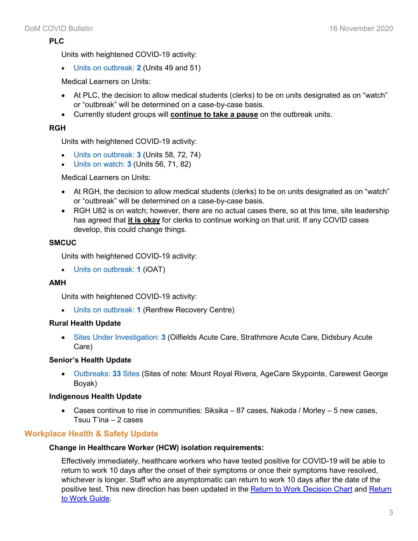# **PLC**

Units with heightened COVID-19 activity:

• Units on outbreak: **2** (Units 49 and 51)

Medical Learners on Units:

- At PLC, the decision to allow medical students (clerks) to be on units designated as on "watch" or "outbreak" will be determined on a case-by-case basis.
- Currently student groups will **continue to take a pause** on the outbreak units.

# **RGH**

Units with heightened COVID-19 activity:

- Units on outbreak: **3** (Units 58, 72, 74)
- Units on watch: **3** (Units 56, 71, 82)

#### Medical Learners on Units:

- At RGH, the decision to allow medical students (clerks) to be on units designated as on "watch" or "outbreak" will be determined on a case-by-case basis.
- RGH U82 is on watch; however, there are no actual cases there, so at this time, site leadership has agreed that **it is okay** for clerks to continue working on that unit. If any COVID cases develop, this could change things.

# **SMCUC**

Units with heightened COVID-19 activity:

• Units on outbreak: **1** (iOAT)

# **AMH**

Units with heightened COVID-19 activity:

• Units on outbreak: **1** (Renfrew Recovery Centre)

# **Rural Health Update**

• Sites Under Investigation: **3** (Oilfields Acute Care, Strathmore Acute Care, Didsbury Acute Care)

# **Senior's Health Update**

• Outbreaks: **33** Sites (Sites of note: Mount Royal Rivera, AgeCare Skypointe, Carewest George Boyak)

# **Indigenous Health Update**

• Cases continue to rise in communities: Siksika  $-87$  cases, Nakoda / Morley  $-5$  new cases, Tsuu T'ina – 2 cases

# **Workplace Health & Safety Update**

#### **Change in Healthcare Worker (HCW) isolation requirements:**

Effectively immediately, healthcare workers who have tested positive for COVID-19 will be able to return to work 10 days after the onset of their symptoms or once their symptoms have resolved, whichever is longer. Staff who are asymptomatic can return to work 10 days after the date of the positive test. This new direction has been updated in the [Return to Work Decision Chart](https://www.albertahealthservices.ca/assets/info/ppih/if-ppih-covid-19-return-to-work-decision-chart-healthcare-worker.pdf) and Return [to Work Guide.](https://www.albertahealthservices.ca/assets/info/ppih/if-ppih-covid-19-return-to-work-guide-ahs-healthcare-worker.pdfhttps:/www.albertahealthservices.ca/assets/info/ppih/if-ppih-covid-19-return-to-work-guide-ahs-healthcare-worker.pdf)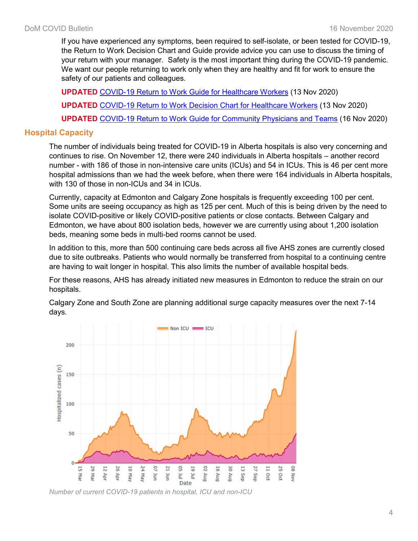If you have experienced any symptoms, been required to self-isolate, or been tested for COVID-19, the Return to Work Decision Chart and Guide provide advice you can use to discuss the timing of your return with your manager. Safety is the most important thing during the COVID-19 pandemic. We want our people returning to work only when they are healthy and fit for work to ensure the safety of our patients and colleagues.

**UPDATED** [COVID-19 Return to Work Guide for Healthcare Workers](https://www.albertahealthservices.ca/assets/info/ppih/if-ppih-covid-19-return-to-work-guide-ahs-healthcare-worker.pdf) (13 Nov 2020) **UPDATED** [COVID-19 Return to Work Decision Chart for Healthcare Workers](https://www.albertahealthservices.ca/assets/info/ppih/if-ppih-covid-19-return-to-work-decision-chart-healthcare-worker.pdf) (13 Nov 2020) **UPDATED** COVID-19 Return to Work Guide [for Community Physicians and Teams](https://www.albertahealthservices.ca/assets/info/ppih/if-ppih-covid-19-community-physicians-return-to-work.pdf) (16 Nov 2020)

# **Hospital Capacity**

The number of individuals being treated for COVID-19 in Alberta hospitals is also very concerning and continues to rise. On November 12, there were 240 individuals in Alberta hospitals – another record number - with 186 of those in non-intensive care units (ICUs) and 54 in ICUs. This is 46 per cent more hospital admissions than we had the week before, when there were 164 individuals in Alberta hospitals, with 130 of those in non-ICUs and 34 in ICUs.

Currently, capacity at Edmonton and Calgary Zone hospitals is frequently exceeding 100 per cent. Some units are seeing occupancy as high as 125 per cent. Much of this is being driven by the need to isolate COVID-positive or likely COVID-positive patients or close contacts. Between Calgary and Edmonton, we have about 800 isolation beds, however we are currently using about 1,200 isolation beds, meaning some beds in multi-bed rooms cannot be used.

In addition to this, more than 500 continuing care beds across all five AHS zones are currently closed due to site outbreaks. Patients who would normally be transferred from hospital to a continuing centre are having to wait longer in hospital. This also limits the number of available hospital beds.

For these reasons, AHS has already initiated new measures in Edmonton to reduce the strain on our hospitals.



Calgary Zone and South Zone are planning additional surge capacity measures over the next 7-14 days.

*Number of current COVID-19 patients in hospital, ICU and non-ICU*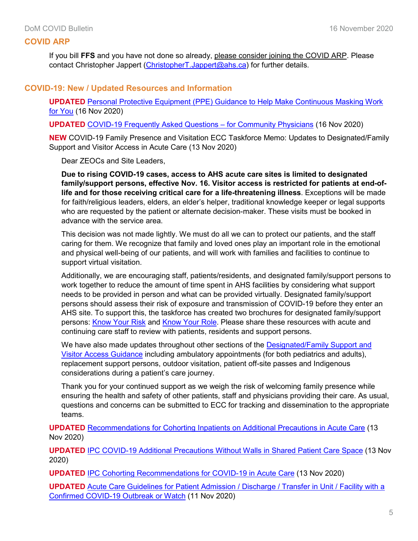## **COVID ARP**

If you bill **FFS** and you have not done so already, please consider joining the COVID ARP. Please contact Christopher Jappert [\(ChristopherT.Jappert@ahs.ca\)](mailto:ChristopherT.Jappert@ahs.ca) for further details.

#### **COVID-19: New / Updated Resources and Information**

**UPDATED** [Personal Protective Equipment \(PPE\) Guidance to Help Make Continuous Masking Work](https://www.albertahealthservices.ca/assets/info/ppih/if-ppih-covid-19-guidance-continuous-masking-work-for-you.pdf)  [for You](https://www.albertahealthservices.ca/assets/info/ppih/if-ppih-covid-19-guidance-continuous-masking-work-for-you.pdf) (16 Nov 2020)

**UPDATED** [COVID-19 Frequently Asked Questions –](https://www.albertahealthservices.ca/assets/info/ppih/if-ppih-covid-19-primary-care-faq.pdf) for Community Physicians (16 Nov 2020)

**NEW** COVID-19 Family Presence and Visitation ECC Taskforce Memo: Updates to Designated/Family Support and Visitor Access in Acute Care (13 Nov 2020)

Dear ZEOCs and Site Leaders,

**Due to rising COVID-19 cases, access to AHS acute care sites is limited to designated family/support persons, effective Nov. 16. Visitor access is restricted for patients at end-oflife and for those receiving critical care for a life-threatening illness**. Exceptions will be made for faith/religious leaders, elders, an elder's helper, traditional knowledge keeper or legal supports who are requested by the patient or alternate decision-maker. These visits must be booked in advance with the service area.

This decision was not made lightly. We must do all we can to protect our patients, and the staff caring for them. We recognize that family and loved ones play an important role in the emotional and physical well-being of our patients, and will work with families and facilities to continue to support virtual visitation.

Additionally, we are encouraging staff, patients/residents, and designated family/support persons to work together to reduce the amount of time spent in AHS facilities by considering what support needs to be provided in person and what can be provided virtually. Designated family/support persons should assess their risk of exposure and transmission of COVID-19 before they enter an AHS site. To support this, the taskforce has created two brochures for designated family/support persons: [Know Your Risk](https://www.albertahealthservices.ca/assets/info/ppih/if-ppih-covid-19-dfsp-know-your-risk.pdf) and [Know Your Role.](https://www.albertahealthservices.ca/assets/info/ppih/if-ppih-covid-19-dfsp-know-your-role.pdf) Please share these resources with acute and continuing care staff to review with patients, residents and support persons.

We have also made updates throughout other sections of the Designated/Family Support and [Visitor Access Guidance](https://www.albertahealthservices.ca/assets/healthinfo/ipc/hi-ipc-covid19-infosht-visiting-pts-pandemic.pdf) including ambulatory appointments (for both pediatrics and adults), replacement support persons, outdoor visitation, patient off-site passes and Indigenous considerations during a patient's care journey.

Thank you for your continued support as we weigh the risk of welcoming family presence while ensuring the health and safety of other patients, staff and physicians providing their care. As usual, questions and concerns can be submitted to ECC for tracking and dissemination to the appropriate teams.

**UPDATED** [Recommendations for Cohorting Inpatients on Additional Precautions in Acute Care](https://www.albertahealthservices.ca/assets/healthinfo/ipc/if-hp-ipc-cohorting-isolation-patients.pdf) (13 Nov 2020)

**UPDATED** [IPC COVID-19 Additional Precautions Without Walls in Shared Patient Care Space](https://www.albertahealthservices.ca/assets/healthinfo/ipc/hi-ipc-setting-up-isoln-wo-walls-shrd-space.pdf) (13 Nov 2020)

**UPDATED** [IPC Cohorting Recommendations for COVID-19 in Acute Care](https://www.albertahealthservices.ca/assets/healthinfo/ipc/hi-ipc-covid-desgnd-unit.pdf) (13 Nov 2020)

**UPDATED** Acute Care Guidelines for Patient Admission / Discharge / Transfer in Unit / Facility with a [Confirmed COVID-19 Outbreak or Watch](https://www.albertahealthservices.ca/assets/info/ppih/if-ppih-covid-19-acute-care-admission-discharge-transfer-outbreak-watch.pdf) (11 Nov 2020)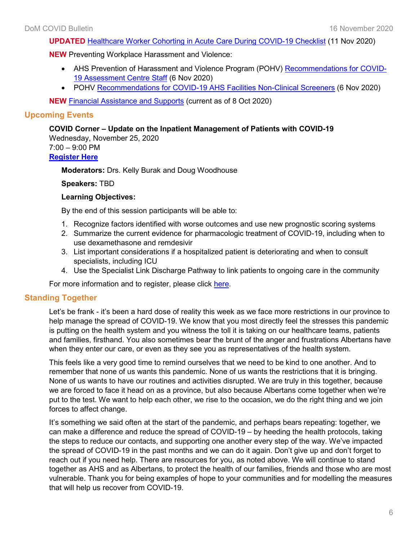**UPDATED** [Healthcare Worker Cohorting in Acute Care During COVID-19 Checklist](https://www.albertahealthservices.ca/assets/info/ppih/if-ppih-covid-19-acute-care-healthcare-worker-cohorting.pdf) (11 Nov 2020)

#### **NEW** Preventing Workplace Harassment and Violence:

- AHS Prevention of Harassment and Violence Program (POHV) [Recommendations for COVID-](https://insite.albertahealthservices.ca/main/assets/tls/ep/tls-ep-covid-19-pohv-recommendations-covid-19-assessment-centre-staff.pdf)[19 Assessment Centre Staff](https://insite.albertahealthservices.ca/main/assets/tls/ep/tls-ep-covid-19-pohv-recommendations-covid-19-assessment-centre-staff.pdf) (6 Nov 2020)
- POHV [Recommendations for COVID-19 AHS Facilities Non-Clinical Screeners](https://insite.albertahealthservices.ca/main/assets/tls/ep/tls-ep-covid-19-pohv-recommendations-covid-19-non-clinical-screeners.pdf) (6 Nov 2020)

**NEW** [Financial Assistance and Supports](https://www.departmentofmedicine.com/meoc/financial-assistance-supports.pdf) (current as of 8 Oct 2020)

# **Upcoming Events**

#### **COVID Corner – Update on the Inpatient Management of Patients with COVID-19**

Wednesday, November 25, 2020 7:00 – 9:00 PM **[Register Here](https://cumming.ucalgary.ca/cme/courses/calendar/calendar#!view/event/event_id/197951)**

**Moderators:** Drs. Kelly Burak and Doug Woodhouse

#### **Speakers:** TBD

#### **Learning Objectives:**

By the end of this session participants will be able to:

- 1. Recognize factors identified with worse outcomes and use new prognostic scoring systems
- 2. Summarize the current evidence for pharmacologic treatment of COVID-19, including when to use dexamethasone and remdesivir
- 3. List important considerations if a hospitalized patient is deteriorating and when to consult specialists, including ICU
- 4. Use the Specialist Link Discharge Pathway to link patients to ongoing care in the community

For more information and to register, please click [here.](https://cumming.ucalgary.ca/cme/courses/calendar/calendar#!view/event/event_id/197951)

#### **Standing Together**

Let's be frank - it's been a hard dose of reality this week as we face more restrictions in our province to help manage the spread of COVID-19. We know that you most directly feel the stresses this pandemic is putting on the health system and you witness the toll it is taking on our healthcare teams, patients and families, firsthand. You also sometimes bear the brunt of the anger and frustrations Albertans have when they enter our care, or even as they see you as representatives of the health system.

This feels like a very good time to remind ourselves that we need to be kind to one another. And to remember that none of us wants this pandemic. None of us wants the restrictions that it is bringing. None of us wants to have our routines and activities disrupted. We are truly in this together, because we are forced to face it head on as a province, but also because Albertans come together when we're put to the test. We want to help each other, we rise to the occasion, we do the right thing and we join forces to affect change.

It's something we said often at the start of the pandemic, and perhaps bears repeating: together, we can make a difference and reduce the spread of COVID-19 – by heeding the health protocols, taking the steps to reduce our contacts, and supporting one another every step of the way. We've impacted the spread of COVID-19 in the past months and we can do it again. Don't give up and don't forget to reach out if you need help. There are resources for you, as noted above. We will continue to stand together as AHS and as Albertans, to protect the health of our families, friends and those who are most vulnerable. Thank you for being examples of hope to your communities and for modelling the measures that will help us recover from COVID-19.